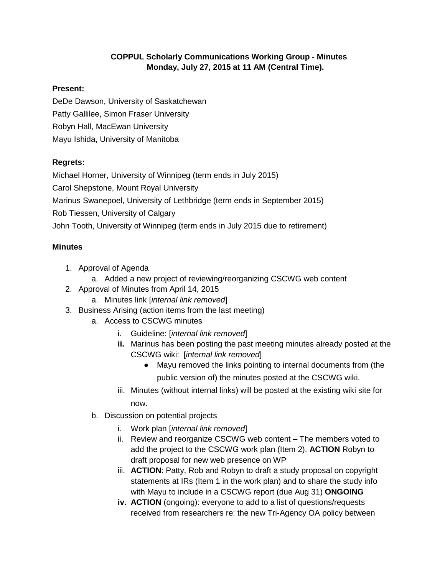## **COPPUL Scholarly Communications Working Group - Minutes Monday, July 27, 2015 at 11 AM (Central Time).**

## **Present:**

DeDe Dawson, University of Saskatchewan Patty Gallilee, Simon Fraser University Robyn Hall, MacEwan University Mayu Ishida, University of Manitoba

## **Regrets:**

Michael Horner, University of Winnipeg (term ends in July 2015) Carol Shepstone, Mount Royal University Marinus Swanepoel, University of Lethbridge (term ends in September 2015) Rob Tiessen, University of Calgary John Tooth, University of Winnipeg (term ends in July 2015 due to retirement)

## **Minutes**

- 1. Approval of Agenda
	- a. Added a new project of reviewing/reorganizing CSCWG web content
- 2. Approval of Minutes from April 14, 2015
	- a. Minutes link [*internal link removed*]
- 3. Business Arising (action items from the last meeting)
	- a. Access to CSCWG minutes
		- i. Guideline: [*internal link removed*]
		- **ii.** Marinus has been posting the past meeting minutes already posted at the CSCWG wiki[:](http://coppulscholarcom.wikifoundry.com/page/Minutes+of+meetings) [*internal link removed*]
			- Mayu removed the links pointing to internal documents from (the public version of) the minutes posted at the CSCWG wiki.
		- iii. Minutes (without internal links) will be posted at the existing wiki site for now.
	- b. Discussion on potential projects
		- i. Work plan [*internal link removed*]
		- ii. Review and reorganize CSCWG web content The members voted to add the project to the CSCWG work plan (Item 2). **ACTION** Robyn to draft proposal for new web presence on WP
		- iii. **ACTION**: Patty, Rob and Robyn to draft a study proposal on copyright statements at IRs (Item 1 in the work plan) and to share the study info with Mayu to include in a CSCWG report (due Aug 31) **ONGOING**
		- **iv. ACTION** (ongoing): everyone to add to a list of questions/requests received from researchers re: the new Tri-Agency OA policy between